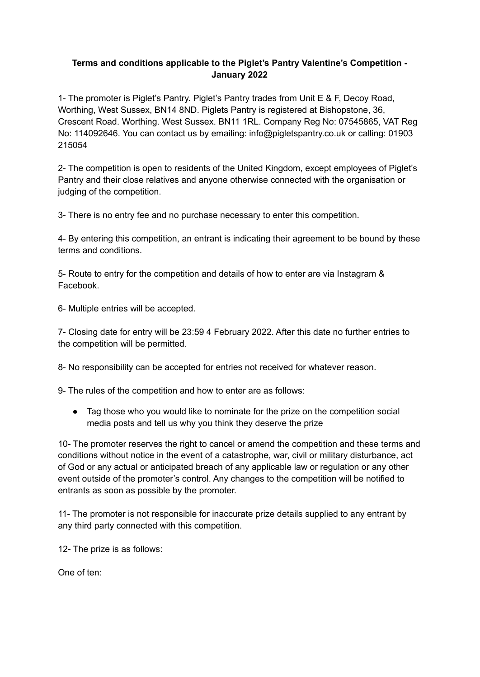## **Terms and conditions applicable to the Piglet's Pantry Valentine's Competition - January 2022**

1- The promoter is Piglet's Pantry. Piglet's Pantry trades from Unit E & F, Decoy Road, Worthing, West Sussex, BN14 8ND. Piglets Pantry is registered at Bishopstone, 36, Crescent Road. Worthing. West Sussex. BN11 1RL. Company Reg No: [07545865,](https://companycheck.co.uk/company/07545865/PIGLETS-PANTRY-LIMITED/companies-house-data) VAT Reg No: 114092646. You can contact us by emailing: info@pigletspantry.co.uk or calling: 01903 215054

2- The competition is open to residents of the United Kingdom, except employees of Piglet's Pantry and their close relatives and anyone otherwise connected with the organisation or judging of the competition.

3- There is no entry fee and no purchase necessary to enter this competition.

4- By entering this competition, an entrant is indicating their agreement to be bound by these terms and conditions.

5- Route to entry for the competition and details of how to enter are via Instagram & Facebook.

6- Multiple entries will be accepted.

7- Closing date for entry will be 23:59 4 February 2022. After this date no further entries to the competition will be permitted.

8- No responsibility can be accepted for entries not received for whatever reason.

9- The rules of the competition and how to enter are as follows:

● Tag those who you would like to nominate for the prize on the competition social media posts and tell us why you think they deserve the prize

10- The promoter reserves the right to cancel or amend the competition and these terms and conditions without notice in the event of a catastrophe, war, civil or military disturbance, act of God or any actual or anticipated breach of any applicable law or regulation or any other event outside of the promoter's control. Any changes to the competition will be notified to entrants as soon as possible by the promoter.

11- The promoter is not responsible for inaccurate prize details supplied to any entrant by any third party connected with this competition.

12- The prize is as follows:

One of ten: